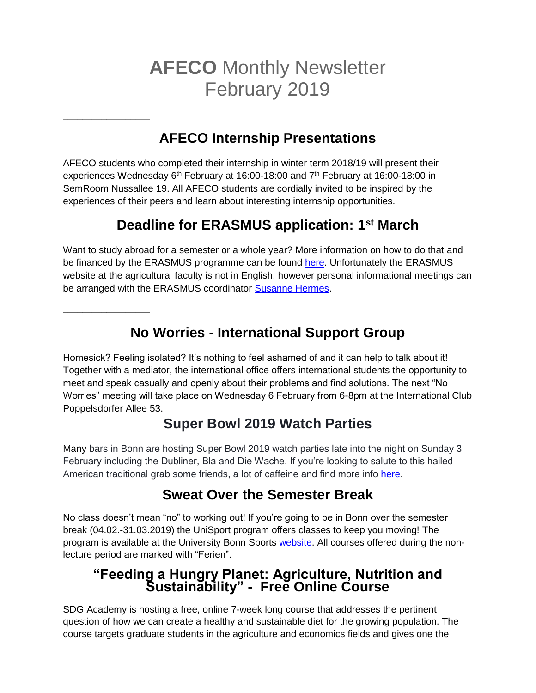# **AFECO** Monthly Newsletter February 2019

## **AFECO Internship Presentations**

AFECO students who completed their internship in winter term 2018/19 will present their experiences Wednesday  $6<sup>th</sup>$  February at 16:00-18:00 and  $7<sup>th</sup>$  February at 16:00-18:00 in SemRoom Nussallee 19. All AFECO students are cordially invited to be inspired by the experiences of their peers and learn about interesting internship opportunities.

**\_\_\_\_\_\_\_\_\_\_\_\_\_\_\_\_\_\_**

**\_\_\_\_\_\_\_\_\_\_\_\_\_\_\_\_\_\_**

### **Deadline for ERASMUS application: 1st March**

Want to study abroad for a semester or a whole year? More information on how to do that and be financed by the ERASMUS programme can be found [here.](https://www.lwf.uni-bonn.de/internationales/erasmus/outgoing) Unfortunately the ERASMUS website at the agricultural faculty is not in English, however personal informational meetings can be arranged with the ERASMUS coordinator [Susanne Hermes.](mailto:erasmus.lwf@uni-bonn.de)

**No Worries - International Support Group** 

Homesick? Feeling isolated? It's nothing to feel ashamed of and it can help to talk about it! Together with a mediator, the international office offers international students the opportunity to meet and speak casually and openly about their problems and find solutions. The next "No Worries" meeting will take place on Wednesday 6 February from 6-8pm at the International Club Poppelsdorfer Allee 53.

#### **Super Bowl 2019 Watch Parties**

Many bars in Bonn are hosting Super Bowl 2019 watch parties late into the night on Sunday 3 February including the Dubliner, Bla and Die Wache. If you're looking to salute to this hailed American traditional grab some friends, a lot of caffeine and find more info [here.](http://www.general-anzeiger-bonn.de/bonn/stadt-bonn/Hier-wird-der-Super-Bowl-2019-in-Bonn-%C3%BCbertragen-article3764329.html)

#### **Sweat Over the Semester Break**

No class doesn't mean "no" to working out! If you're going to be in Bonn over the semester break (04.02.-31.03.2019) the UniSport program offers classes to keep you moving! The program is available at the University Bonn Sports [website.](https://www.sportangebot.uni-bonn.de/angebote/aktueller_zeitraum/index.html) All courses offered during the nonlecture period are marked with "Ferien".

#### **"Feeding a Hungry Planet: Agriculture, Nutrition and Sustainability" - Free Online Course**

SDG Academy is hosting a free, online 7-week long course that addresses the pertinent question of how we can create a healthy and sustainable diet for the growing population. The course targets graduate students in the agriculture and economics fields and gives one the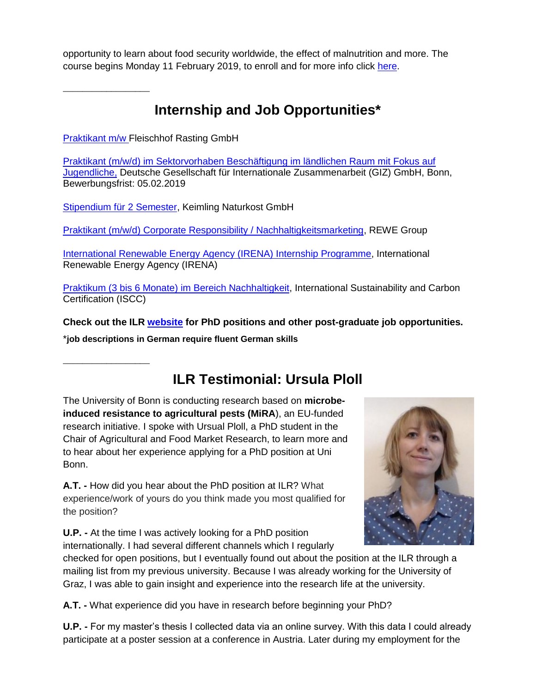opportunity to learn about food security worldwide, the effect of malnutrition and more. The course begins Monday 11 February 2019, to enroll and for more info click [here.](https://www.edx.org/course/feeding-a-hungry-planet-agriculture-nutrition-and-sustainability)

**\_\_\_\_\_\_\_\_\_\_\_\_\_\_\_\_\_\_**

**\_\_\_\_\_\_\_\_\_\_\_\_\_\_\_\_\_\_**

#### **Internship and Job Opportunities\***

[Praktikant m/w F](http://www.ilr.uni-bonn.de/central/Stellenausschreibung%20Praktikum.pdf)leischhof Rasting GmbH

[Praktikant \(m/w/d\) im Sektorvorhaben Beschäftigung im ländlichen Raum mit Fokus auf](https://jobs.giz.de/index.php?ac=jobad&id=41675)  [Jugendliche,](https://jobs.giz.de/index.php?ac=jobad&id=41675) Deutsche Gesellschaft für Internationale Zusammenarbeit (GIZ) GmbH, Bonn, Bewerbungsfrist: 05.02.2019

[Stipendium für 2 Semester,](https://www.keimling.de/stipendium) Keimling Naturkost GmbH

[Praktikant \(m/w/d\) Corporate Responsibility / Nachhaltigkeitsmarketing,](https://karriere.rewe-group.com/rewegroup/job/K%C3%B6ln-Werkstudent-%28mwd%29-Corporate-Responsibility-Nachhaltigkeitsmarketing-1-50933/507692701/) REWE Group

[International Renewable Energy Agency \(IRENA\) Internship Programme,](https://employment.irena.org/careersection/1/jobdetail.ftl?lang=en&portal=8205020217&job=INT0000) International Renewable Energy Agency (IRENA)

[Praktikum \(3 bis 6 Monate\) im Bereich Nachhaltigkeit,](https://www.iscc-system.org/wp-content/uploads/2017/04/ISCC_Praktikum_2018.pdf) International Sustainability and Carbon Certification (ISCC)

**Check out the ILR [website](http://www.ilr.uni-bonn.de/central/jobs_d.htm) for PhD positions and other post-graduate job opportunities.**

\***job descriptions in German require fluent German skills**

#### **ILR Testimonial: Ursula Ploll**

The University of Bonn is conducting research based on **microbeinduced resistance to agricultural pests (MiRA**), an EU-funded research initiative. I spoke with Ursual Ploll, a PhD student in the Chair of Agricultural and Food Market Research, to learn more and to hear about her experience applying for a PhD position at Uni Bonn.

**A.T. -** How did you hear about the PhD position at ILR? What experience/work of yours do you think made you most qualified for the position?

**U.P. -** At the time I was actively looking for a PhD position internationally. I had several different channels which I regularly



checked for open positions, but I eventually found out about the position at the ILR through a mailing list from my previous university. Because I was already working for the University of Graz, I was able to gain insight and experience into the research life at the university.

**A.T. -** What experience did you have in research before beginning your PhD?

**U.P. -** For my master's thesis I collected data via an online survey. With this data I could already participate at a poster session at a conference in Austria. Later during my employment for the